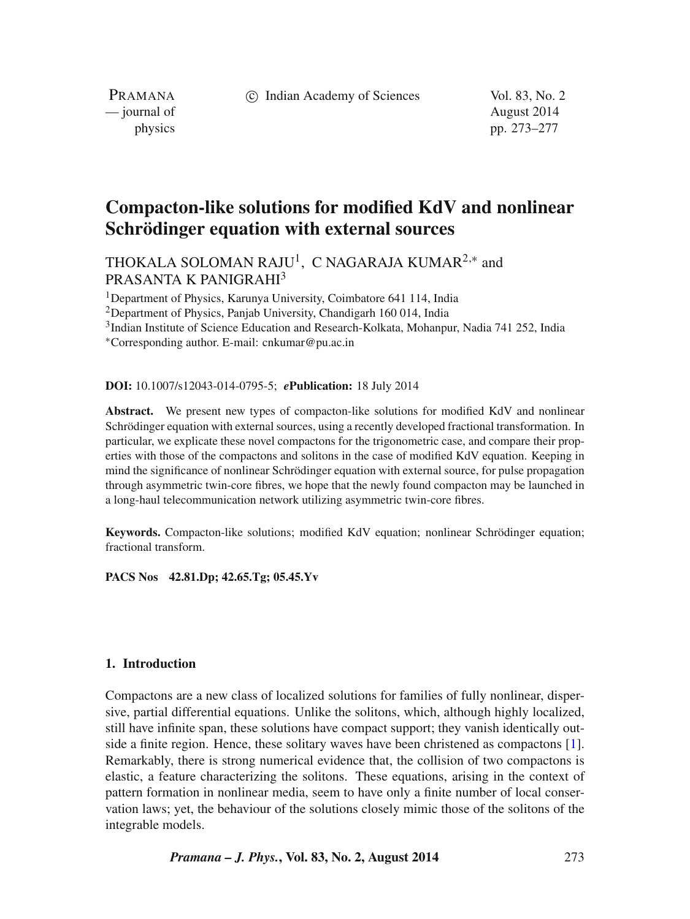(c) Indian Academy of Sciences Vol. 83, No. 2

PRAMANA — journal of August 2014

physics pp. 273–277

# **Compacton-like solutions for modified KdV and nonlinear Schrödinger equation with external sources**

THOKALA SOLOMAN RAJU<sup>1</sup>, C NAGARAJA KUMAR<sup>2,\*</sup> and PRASANTA K PANIGRAHI<sup>3</sup>

1Department of Physics, Karunya University, Coimbatore 641 114, India

<sup>2</sup>Department of Physics, Panjab University, Chandigarh 160 014, India

3Indian Institute of Science Education and Research-Kolkata, Mohanpur, Nadia 741 252, India

<sup>∗</sup>Corresponding author. E-mail: cnkumar@pu.ac.in

**DOI:** 10.1007/s12043-014-0795-5; *e***Publication:** 18 July 2014

**Abstract.** We present new types of compacton-like solutions for modified KdV and nonlinear Schrödinger equation with external sources, using a recently developed fractional transformation. In particular, we explicate these novel compactons for the trigonometric case, and compare their properties with those of the compactons and solitons in the case of modified KdV equation. Keeping in mind the significance of nonlinear Schrödinger equation with external source, for pulse propagation through asymmetric twin-core fibres, we hope that the newly found compacton may be launched in a long-haul telecommunication network utilizing asymmetric twin-core fibres.

**Keywords.** Compacton-like solutions; modified KdV equation; nonlinear Schrödinger equation; fractional transform.

**PACS Nos 42.81.Dp; 42.65.Tg; 05.45.Yv**

## **1. Introduction**

Compactons are a new class of localized solutions for families of fully nonlinear, dispersive, partial differential equations. Unlike the solitons, which, although highly localized, still have infinite span, these solutions have compact support; they vanish identically outside a finite region. Hence, these solitary waves have been christened as compactons [\[1\]](#page-4-0). Remarkably, there is strong numerical evidence that, the collision of two compactons is elastic, a feature characterizing the solitons. These equations, arising in the context of pattern formation in nonlinear media, seem to have only a finite number of local conservation laws; yet, the behaviour of the solutions closely mimic those of the solitons of the integrable models.

*Pramana – J. Phys.***, Vol. 83, No. 2, August 2014** 273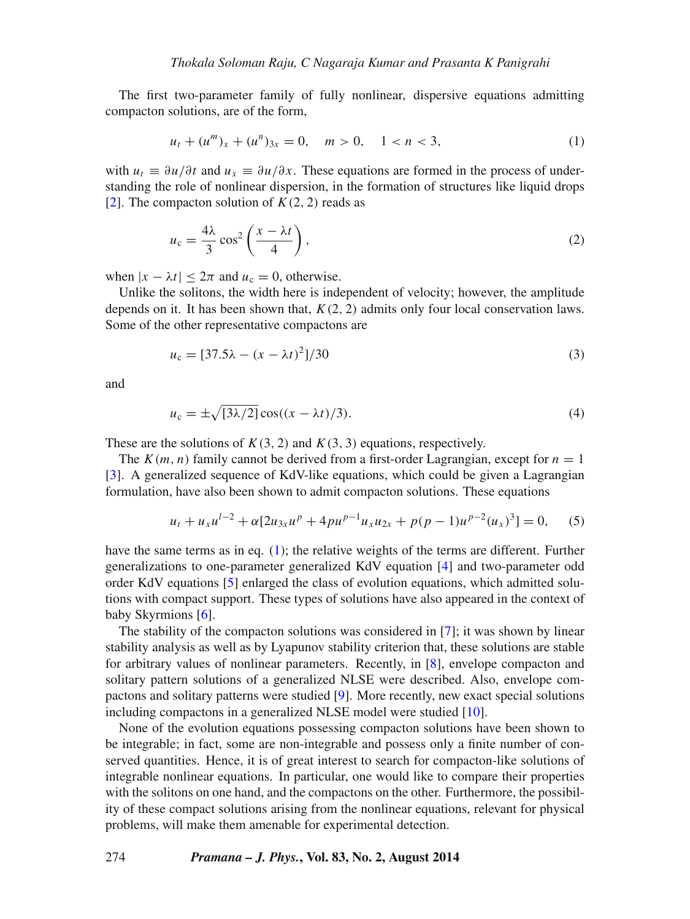The first two-parameter family of fully nonlinear, dispersive equations admitting compacton solutions, are of the form,

<span id="page-1-0"></span>
$$
u_t + (u^m)_x + (u^n)_{3x} = 0, \quad m > 0, \quad 1 < n < 3,
$$
 (1)

with  $u_t \equiv \partial u/\partial t$  and  $u_x \equiv \partial u/\partial x$ . These equations are formed in the process of understanding the role of nonlinear dispersion, in the formation of structures like liquid drops [\[2\]](#page-4-1). The compacton solution of  $K(2, 2)$  reads as

$$
u_{\rm c} = \frac{4\lambda}{3}\cos^2\left(\frac{x-\lambda t}{4}\right),\tag{2}
$$

when  $|x - \lambda t| < 2\pi$  and  $u_c = 0$ , otherwise.

Unlike the solitons, the width here is independent of velocity; however, the amplitude depends on it. It has been shown that, *K(*2*,* 2*)* admits only four local conservation laws. Some of the other representative compactons are

$$
u_{\rm c} = [37.5\lambda - (x - \lambda t)^2]/30\tag{3}
$$

and

$$
u_{\rm c} = \pm \sqrt{[3\lambda/2]} \cos((x - \lambda t)/3). \tag{4}
$$

These are the solutions of  $K(3, 2)$  and  $K(3, 3)$  equations, respectively.

The  $K(m, n)$  family cannot be derived from a first-order Lagrangian, except for  $n = 1$ [\[3\]](#page-4-2). A generalized sequence of KdV-like equations, which could be given a Lagrangian formulation, have also been shown to admit compacton solutions. These equations

$$
u_t + u_x u^{l-2} + \alpha [2u_{3x} u^p + 4pu^{p-1} u_x u_{2x} + p(p-1)u^{p-2}(u_x)^3] = 0, \quad (5)
$$

have the same terms as in eq.  $(1)$ ; the relative weights of the terms are different. Further generalizations to one-parameter generalized KdV equation [\[4\]](#page-4-3) and two-parameter odd order KdV equations [\[5\]](#page-4-4) enlarged the class of evolution equations, which admitted solutions with compact support. These types of solutions have also appeared in the context of baby Skyrmions [\[6\]](#page-4-5).

The stability of the compacton solutions was considered in [\[7\]](#page-4-6); it was shown by linear stability analysis as well as by Lyapunov stability criterion that, these solutions are stable for arbitrary values of nonlinear parameters. Recently, in [\[8\]](#page-4-7), envelope compacton and solitary pattern solutions of a generalized NLSE were described. Also, envelope compactons and solitary patterns were studied [\[9\]](#page-4-8). More recently, new exact special solutions including compactons in a generalized NLSE model were studied [\[10\]](#page-4-9).

None of the evolution equations possessing compacton solutions have been shown to be integrable; in fact, some are non-integrable and possess only a finite number of conserved quantities. Hence, it is of great interest to search for compacton-like solutions of integrable nonlinear equations. In particular, one would like to compare their properties with the solitons on one hand, and the compactons on the other. Furthermore, the possibility of these compact solutions arising from the nonlinear equations, relevant for physical problems, will make them amenable for experimental detection.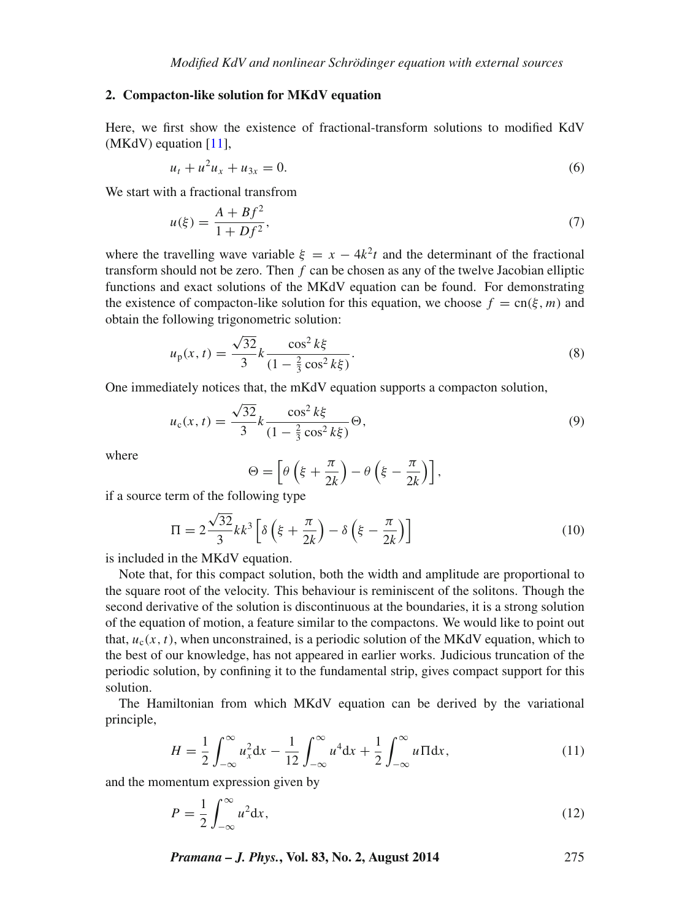#### **2. Compacton-like solution for MKdV equation**

Here, we first show the existence of fractional-transform solutions to modified KdV (MKdV) equation [\[11\]](#page-4-10),

$$
u_t + u^2 u_x + u_{3x} = 0. \t\t(6)
$$

We start with a fractional transfrom

$$
u(\xi) = \frac{A + Bf^2}{1 + Df^2},\tag{7}
$$

where the travelling wave variable  $\xi = x - 4k^2t$  and the determinant of the fractional transform should not be zero. Then *f* can be chosen as any of the twelve Jacobian elliptic functions and exact solutions of the MKdV equation can be found. For demonstrating the existence of compacton-like solution for this equation, we choose  $f = cn(\xi, m)$  and obtain the following trigonometric solution:

$$
u_{\rm p}(x,t) = \frac{\sqrt{32}}{3}k \frac{\cos^2 k\xi}{(1 - \frac{2}{3}\cos^2 k\xi)}.
$$
\n(8)

One immediately notices that, the mKdV equation supports a compacton solution,

$$
u_{c}(x,t) = \frac{\sqrt{32}}{3}k \frac{\cos^{2}k\xi}{(1 - \frac{2}{3}\cos^{2}k\xi)}\Theta,
$$
\n(9)

where

$$
\Theta = \left[ \theta \left( \xi + \frac{\pi}{2k} \right) - \theta \left( \xi - \frac{\pi}{2k} \right) \right],
$$

if a source term of the following type

$$
\Pi = 2\frac{\sqrt{32}}{3}kk^3 \left[ \delta \left( \xi + \frac{\pi}{2k} \right) - \delta \left( \xi - \frac{\pi}{2k} \right) \right]
$$
(10)

is included in the MKdV equation.

Note that, for this compact solution, both the width and amplitude are proportional to the square root of the velocity. This behaviour is reminiscent of the solitons. Though the second derivative of the solution is discontinuous at the boundaries, it is a strong solution of the equation of motion, a feature similar to the compactons. We would like to point out that,  $u_c(x, t)$ , when unconstrained, is a periodic solution of the MKdV equation, which to the best of our knowledge, has not appeared in earlier works. Judicious truncation of the periodic solution, by confining it to the fundamental strip, gives compact support for this solution.

The Hamiltonian from which MKdV equation can be derived by the variational principle,

$$
H = \frac{1}{2} \int_{-\infty}^{\infty} u_x^2 dx - \frac{1}{12} \int_{-\infty}^{\infty} u^4 dx + \frac{1}{2} \int_{-\infty}^{\infty} u \Pi dx,
$$
 (11)

and the momentum expression given by

$$
P = \frac{1}{2} \int_{-\infty}^{\infty} u^2 dx,
$$
\n(12)

*Pramana – J. Phys.***, Vol. 83, No. 2, August 2014** 275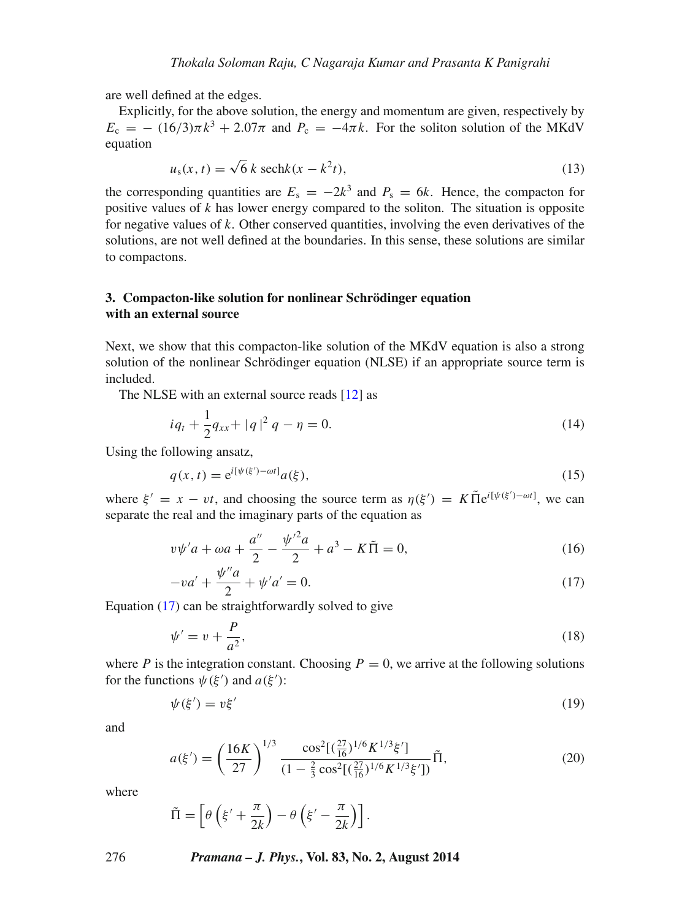are well defined at the edges.

Explicitly, for the above solution, the energy and momentum are given, respectively by  $E_c = - (16/3)\pi k^3 + 2.07\pi$  and  $P_c = -4\pi k$ . For the soliton solution of the MKdV equation

$$
u_s(x, t) = \sqrt{6} k \operatorname{sech}k(x - k^2 t), \tag{13}
$$

the corresponding quantities are  $E_s = -2k^3$  and  $P_s = 6k$ . Hence, the compacton for positive values of *k* has lower energy compared to the soliton. The situation is opposite for negative values of *k*. Other conserved quantities, involving the even derivatives of the solutions, are not well defined at the boundaries. In this sense, these solutions are similar to compactons.

## **3. Compacton-like solution for nonlinear Schrödinger equation with an external source**

Next, we show that this compacton-like solution of the MKdV equation is also a strong solution of the nonlinear Schrödinger equation (NLSE) if an appropriate source term is included.

The NLSE with an external source reads [\[12\]](#page-4-11) as

$$
iq_t + \frac{1}{2}q_{xx} + |q|^2 q - \eta = 0.
$$
 (14)

Using the following ansatz,

$$
q(x,t) = e^{i[\psi(\xi') - \omega t]} a(\xi),\tag{15}
$$

where  $\xi' = x - vt$ , and choosing the source term as  $\eta(\xi') = K \tilde{\Pi} e^{i[\psi(\xi') - \omega t]}$ , we can separate the real and the imaginary parts of the equation as

$$
v\psi'a + \omega a + \frac{a''}{2} - \frac{{\psi'}^2 a}{2} + a^3 - K\tilde{\Pi} = 0,
$$
\n(16)

$$
-va' + \frac{\psi''a}{2} + \psi'a' = 0.
$$
 (17)

<span id="page-3-0"></span>Equation [\(17\)](#page-3-0) can be straightforwardly solved to give

$$
\psi' = v + \frac{P}{a^2},\tag{18}
$$

where *P* is the integration constant. Choosing  $P = 0$ , we arrive at the following solutions for the functions  $\psi(\xi')$  and  $a(\xi')$ :

$$
\psi(\xi') = v\xi'
$$
 (19)

and

$$
a(\xi') = \left(\frac{16K}{27}\right)^{1/3} \frac{\cos^2[(\frac{27}{16})^{1/6} K^{1/3}\xi']}{(1 - \frac{2}{3}\cos^2[(\frac{27}{16})^{1/6} K^{1/3}\xi'])}\tilde{\Pi},\tag{20}
$$

where

$$
\tilde{\Pi} = \left[\theta \left(\xi' + \frac{\pi}{2k}\right) - \theta \left(\xi' - \frac{\pi}{2k}\right)\right].
$$

### 276 *Pramana – J. Phys.***, Vol. 83, No. 2, August 2014**